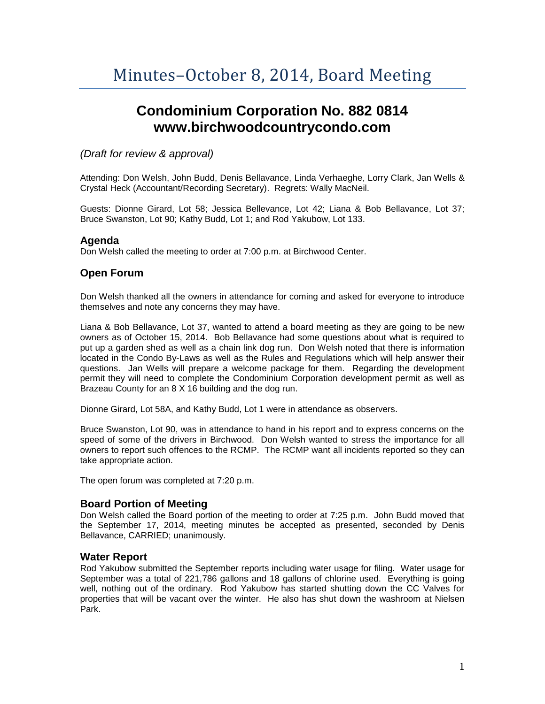# **Condominium Corporation No. 882 0814 www.birchwoodcountrycondo.com**

# *(Draft for review & approval)*

Attending: Don Welsh, John Budd, Denis Bellavance, Linda Verhaeghe, Lorry Clark, Jan Wells & Crystal Heck (Accountant/Recording Secretary). Regrets: Wally MacNeil.

Guests: Dionne Girard, Lot 58; Jessica Bellevance, Lot 42; Liana & Bob Bellavance, Lot 37; Bruce Swanston, Lot 90; Kathy Budd, Lot 1; and Rod Yakubow, Lot 133.

## **Agenda**

Don Welsh called the meeting to order at 7:00 p.m. at Birchwood Center.

# **Open Forum**

Don Welsh thanked all the owners in attendance for coming and asked for everyone to introduce themselves and note any concerns they may have.

Liana & Bob Bellavance, Lot 37, wanted to attend a board meeting as they are going to be new owners as of October 15, 2014. Bob Bellavance had some questions about what is required to put up a garden shed as well as a chain link dog run. Don Welsh noted that there is information located in the Condo By-Laws as well as the Rules and Regulations which will help answer their questions. Jan Wells will prepare a welcome package for them. Regarding the development permit they will need to complete the Condominium Corporation development permit as well as Brazeau County for an 8 X 16 building and the dog run.

Dionne Girard, Lot 58A, and Kathy Budd, Lot 1 were in attendance as observers.

Bruce Swanston, Lot 90, was in attendance to hand in his report and to express concerns on the speed of some of the drivers in Birchwood. Don Welsh wanted to stress the importance for all owners to report such offences to the RCMP. The RCMP want all incidents reported so they can take appropriate action.

The open forum was completed at 7:20 p.m.

## **Board Portion of Meeting**

Don Welsh called the Board portion of the meeting to order at 7:25 p.m. John Budd moved that the September 17, 2014, meeting minutes be accepted as presented, seconded by Denis Bellavance, CARRIED; unanimously.

## **Water Report**

Rod Yakubow submitted the September reports including water usage for filing. Water usage for September was a total of 221,786 gallons and 18 gallons of chlorine used. Everything is going well, nothing out of the ordinary. Rod Yakubow has started shutting down the CC Valves for properties that will be vacant over the winter. He also has shut down the washroom at Nielsen Park.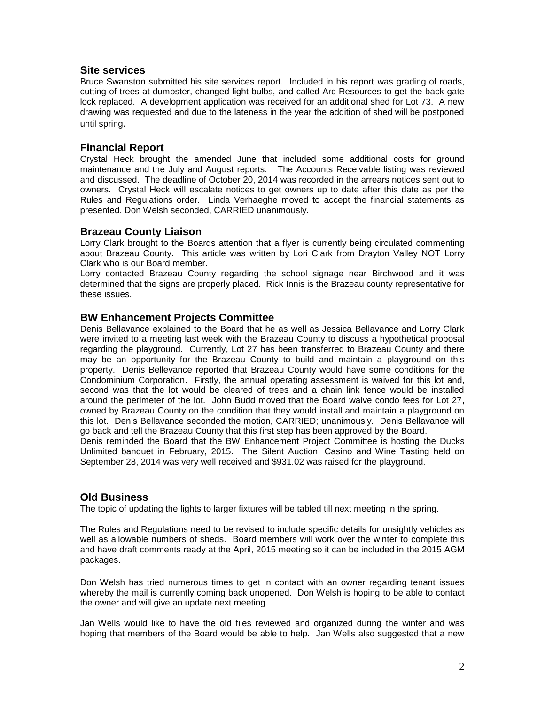### **Site services**

Bruce Swanston submitted his site services report. Included in his report was grading of roads, cutting of trees at dumpster, changed light bulbs, and called Arc Resources to get the back gate lock replaced. A development application was received for an additional shed for Lot 73. A new drawing was requested and due to the lateness in the year the addition of shed will be postponed until spring.

## **Financial Report**

Crystal Heck brought the amended June that included some additional costs for ground maintenance and the July and August reports. The Accounts Receivable listing was reviewed and discussed. The deadline of October 20, 2014 was recorded in the arrears notices sent out to owners. Crystal Heck will escalate notices to get owners up to date after this date as per the Rules and Regulations order. Linda Verhaeghe moved to accept the financial statements as presented. Don Welsh seconded, CARRIED unanimously.

### **Brazeau County Liaison**

Lorry Clark brought to the Boards attention that a flyer is currently being circulated commenting about Brazeau County. This article was written by Lori Clark from Drayton Valley NOT Lorry Clark who is our Board member.

Lorry contacted Brazeau County regarding the school signage near Birchwood and it was determined that the signs are properly placed. Rick Innis is the Brazeau county representative for these issues.

## **BW Enhancement Projects Committee**

Denis Bellavance explained to the Board that he as well as Jessica Bellavance and Lorry Clark were invited to a meeting last week with the Brazeau County to discuss a hypothetical proposal regarding the playground. Currently, Lot 27 has been transferred to Brazeau County and there may be an opportunity for the Brazeau County to build and maintain a playground on this property. Denis Bellevance reported that Brazeau County would have some conditions for the Condominium Corporation. Firstly, the annual operating assessment is waived for this lot and, second was that the lot would be cleared of trees and a chain link fence would be installed around the perimeter of the lot. John Budd moved that the Board waive condo fees for Lot 27, owned by Brazeau County on the condition that they would install and maintain a playground on this lot. Denis Bellavance seconded the motion, CARRIED; unanimously. Denis Bellavance will go back and tell the Brazeau County that this first step has been approved by the Board. Denis reminded the Board that the BW Enhancement Project Committee is hosting the Ducks Unlimited banquet in February, 2015. The Silent Auction, Casino and Wine Tasting held on September 28, 2014 was very well received and \$931.02 was raised for the playground.

## **Old Business**

The topic of updating the lights to larger fixtures will be tabled till next meeting in the spring.

The Rules and Regulations need to be revised to include specific details for unsightly vehicles as well as allowable numbers of sheds. Board members will work over the winter to complete this and have draft comments ready at the April, 2015 meeting so it can be included in the 2015 AGM packages.

Don Welsh has tried numerous times to get in contact with an owner regarding tenant issues whereby the mail is currently coming back unopened. Don Welsh is hoping to be able to contact the owner and will give an update next meeting.

Jan Wells would like to have the old files reviewed and organized during the winter and was hoping that members of the Board would be able to help. Jan Wells also suggested that a new